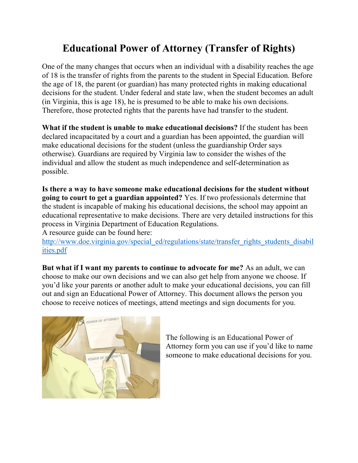## **Educational Power of Attorney (Transfer of Rights)**

One of the many changes that occurs when an individual with a disability reaches the age of 18 is the transfer of rights from the parents to the student in Special Education. Before the age of 18, the parent (or guardian) has many protected rights in making educational decisions for the student. Under federal and state law, when the student becomes an adult (in Virginia, this is age 18), he is presumed to be able to make his own decisions. Therefore, those protected rights that the parents have had transfer to the student.

**What if the student is unable to make educational decisions?** If the student has been declared incapacitated by a court and a guardian has been appointed, the guardian will make educational decisions for the student (unless the guardianship Order says otherwise). Guardians are required by Virginia law to consider the wishes of the individual and allow the student as much independence and self-determination as possible.

**Is there a way to have someone make educational decisions for the student without going to court to get a guardian appointed?** Yes. If two professionals determine that the student is incapable of making his educational decisions, the school may appoint an educational representative to make decisions. There are very detailed instructions for this process in Virginia Department of Education Regulations.

A resource guide can be found here:

[http://www.doe.virginia.gov/special\\_ed/regulations/state/transfer\\_rights\\_students\\_disabil](http://www.doe.virginia.gov/special_ed/regulations/state/transfer_rights_students_disabilities.pdf) [ities.pdf](http://www.doe.virginia.gov/special_ed/regulations/state/transfer_rights_students_disabilities.pdf)

**But what if I want my parents to continue to advocate for me?** As an adult, we can choose to make our own decisions and we can also get help from anyone we choose. If you'd like your parents or another adult to make your educational decisions, you can fill out and sign an Educational Power of Attorney. This document allows the person you choose to receive notices of meetings, attend meetings and sign documents for you.



The following is an Educational Power of Attorney form you can use if you'd like to name someone to make educational decisions for you.